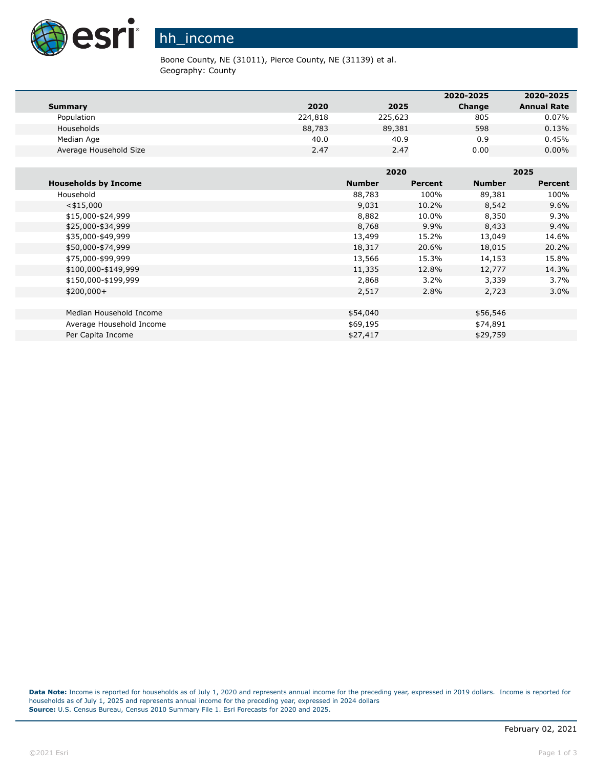

## hh\_income

Boone County, NE (31011), Pierce County, NE (31139) et al. Geography: County

|                        |         |         | 2020-2025 | 2020-2025          |
|------------------------|---------|---------|-----------|--------------------|
| <b>Summary</b>         | 2020    | 2025    | Change    | <b>Annual Rate</b> |
| Population             | 224,818 | 225,623 | 805       | 0.07%              |
| Households             | 88,783  | 89,381  | 598       | 0.13%              |
| Median Age             | 40.0    | 40.9    | 0.9       | 0.45%              |
| Average Household Size | 2.47    | 2.47    | 0.00      | $0.00\%$           |

|                             |               | 2020    |               | 2025    |  |
|-----------------------------|---------------|---------|---------------|---------|--|
| <b>Households by Income</b> | <b>Number</b> | Percent | <b>Number</b> | Percent |  |
| Household                   | 88,783        | 100%    | 89,381        | 100%    |  |
| $<$ \$15,000                | 9,031         | 10.2%   | 8,542         | 9.6%    |  |
| \$15,000-\$24,999           | 8,882         | 10.0%   | 8,350         | 9.3%    |  |
| \$25,000-\$34,999           | 8,768         | $9.9\%$ | 8,433         | 9.4%    |  |
| \$35,000-\$49,999           | 13,499        | 15.2%   | 13,049        | 14.6%   |  |
| \$50,000-\$74,999           | 18,317        | 20.6%   | 18,015        | 20.2%   |  |
| \$75,000-\$99,999           | 13,566        | 15.3%   | 14,153        | 15.8%   |  |
| \$100,000-\$149,999         | 11,335        | 12.8%   | 12,777        | 14.3%   |  |
| \$150,000-\$199,999         | 2,868         | $3.2\%$ | 3,339         | 3.7%    |  |
| $$200,000+$                 | 2,517         | 2.8%    | 2,723         | $3.0\%$ |  |
|                             |               |         |               |         |  |
| Median Household Income     | \$54,040      |         | \$56,546      |         |  |
| Average Household Income    | \$69,195      |         | \$74,891      |         |  |
| Per Capita Income           | \$27,417      |         | \$29,759      |         |  |

Data Note: Income is reported for households as of July 1, 2020 and represents annual income for the preceding year, expressed in 2019 dollars. Income is reported for households as of July 1, 2025 and represents annual income for the preceding year, expressed in 2024 dollars **Source:** U.S. Census Bureau, Census 2010 Summary File 1. Esri Forecasts for 2020 and 2025.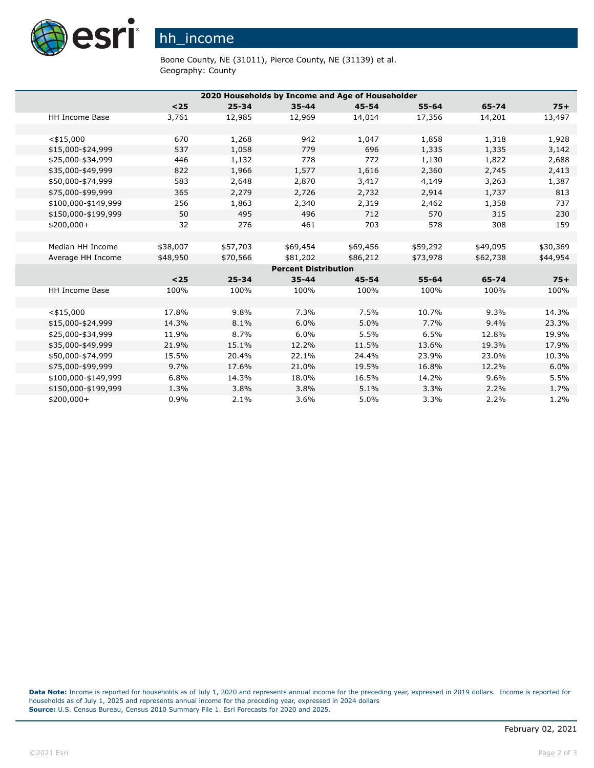

## hh\_income

Boone County, NE (31011), Pierce County, NE (31139) et al. Geography: County

| 2020 Households by Income and Age of Householder |          |           |                             |           |           |          |          |
|--------------------------------------------------|----------|-----------|-----------------------------|-----------|-----------|----------|----------|
|                                                  | $25$     | $25 - 34$ | $35 - 44$                   | $45 - 54$ | $55 - 64$ | 65-74    | $75+$    |
| <b>HH Income Base</b>                            | 3,761    | 12,985    | 12,969                      | 14,014    | 17,356    | 14,201   | 13,497   |
|                                                  |          |           |                             |           |           |          |          |
| $<$ \$15,000                                     | 670      | 1,268     | 942                         | 1,047     | 1,858     | 1,318    | 1,928    |
| \$15,000-\$24,999                                | 537      | 1,058     | 779                         | 696       | 1,335     | 1,335    | 3,142    |
| \$25,000-\$34,999                                | 446      | 1,132     | 778                         | 772       | 1,130     | 1,822    | 2,688    |
| \$35,000-\$49,999                                | 822      | 1,966     | 1,577                       | 1,616     | 2,360     | 2,745    | 2,413    |
| \$50,000-\$74,999                                | 583      | 2,648     | 2,870                       | 3,417     | 4,149     | 3,263    | 1,387    |
| \$75,000-\$99,999                                | 365      | 2,279     | 2,726                       | 2,732     | 2,914     | 1,737    | 813      |
| \$100,000-\$149,999                              | 256      | 1,863     | 2,340                       | 2,319     | 2,462     | 1,358    | 737      |
| \$150,000-\$199,999                              | 50       | 495       | 496                         | 712       | 570       | 315      | 230      |
| $$200,000+$                                      | 32       | 276       | 461                         | 703       | 578       | 308      | 159      |
|                                                  |          |           |                             |           |           |          |          |
| Median HH Income                                 | \$38,007 | \$57,703  | \$69,454                    | \$69,456  | \$59,292  | \$49,095 | \$30,369 |
| Average HH Income                                | \$48,950 | \$70,566  | \$81,202                    | \$86,212  | \$73,978  | \$62,738 | \$44,954 |
|                                                  |          |           | <b>Percent Distribution</b> |           |           |          |          |
|                                                  | $25$     | $25 - 34$ | $35 - 44$                   | $45 - 54$ | $55 - 64$ | 65-74    | $75+$    |
| <b>HH Income Base</b>                            | 100%     | 100%      | 100%                        | 100%      | 100%      | 100%     | 100%     |
|                                                  |          |           |                             |           |           |          |          |
| $<$ \$15,000                                     | 17.8%    | 9.8%      | 7.3%                        | 7.5%      | 10.7%     | 9.3%     | 14.3%    |
| \$15,000-\$24,999                                | 14.3%    | 8.1%      | 6.0%                        | 5.0%      | 7.7%      | 9.4%     | 23.3%    |
| \$25,000-\$34,999                                | 11.9%    | 8.7%      | 6.0%                        | 5.5%      | 6.5%      | 12.8%    | 19.9%    |
| \$35,000-\$49,999                                | 21.9%    | 15.1%     | 12.2%                       | 11.5%     | 13.6%     | 19.3%    | 17.9%    |
| \$50,000-\$74,999                                | 15.5%    | 20.4%     | 22.1%                       | 24.4%     | 23.9%     | 23.0%    | 10.3%    |
| \$75,000-\$99,999                                | 9.7%     | 17.6%     | 21.0%                       | 19.5%     | 16.8%     | 12.2%    | 6.0%     |
| \$100,000-\$149,999                              | 6.8%     | 14.3%     | 18.0%                       | 16.5%     | 14.2%     | 9.6%     | 5.5%     |
| \$150,000-\$199,999                              | 1.3%     | 3.8%      | 3.8%                        | 5.1%      | 3.3%      | 2.2%     | 1.7%     |
| \$200,000+                                       | 0.9%     | 2.1%      | 3.6%                        | 5.0%      | 3.3%      | 2.2%     | 1.2%     |

**Data Note:** Income is reported for households as of July 1, 2020 and represents annual income for the preceding year, expressed in 2019 dollars. Income is reported for households as of July 1, 2025 and represents annual income for the preceding year, expressed in 2024 dollars **Source:** U.S. Census Bureau, Census 2010 Summary File 1. Esri Forecasts for 2020 and 2025.